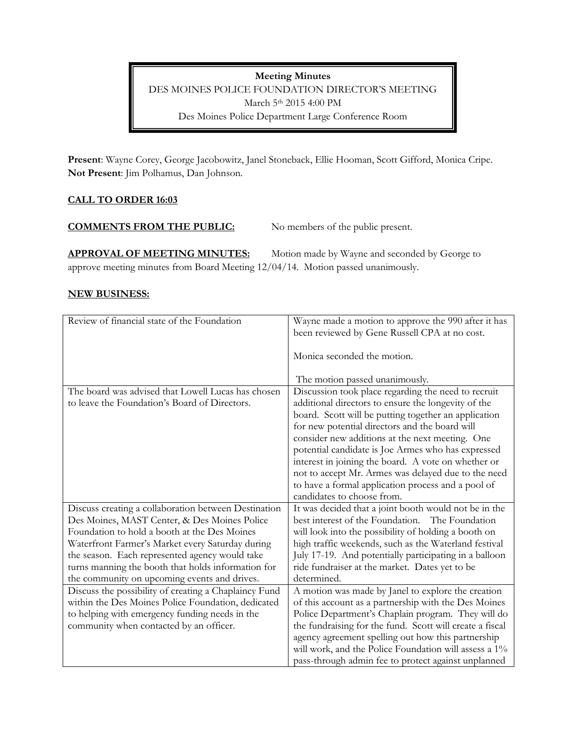**Meeting Minutes** DES MOINES POLICE FOUNDATION DIRECTOR'S MEETING March 5th 2015 4:00 PM Des Moines Police Department Large Conference Room

**Present**: Wayne Corey, George Jacobowitz, Janel Stoneback, Ellie Hooman, Scott Gifford, Monica Cripe. **Not Present**: Jim Polhamus, Dan Johnson.

# **CALL TO ORDER 16:03**

## **COMMENTS FROM THE PUBLIC:** No members of the public present.

APPROVAL OF MEETING MINUTES: Motion made by Wayne and seconded by George to approve meeting minutes from Board Meeting 12/04/14. Motion passed unanimously.

# **NEW BUSINESS:**

| Review of financial state of the Foundation           | Wayne made a motion to approve the 990 after it has      |
|-------------------------------------------------------|----------------------------------------------------------|
|                                                       | been reviewed by Gene Russell CPA at no cost.            |
|                                                       |                                                          |
|                                                       | Monica seconded the motion.                              |
|                                                       |                                                          |
|                                                       | The motion passed unanimously.                           |
| The board was advised that Lowell Lucas has chosen    | Discussion took place regarding the need to recruit      |
| to leave the Foundation's Board of Directors.         | additional directors to ensure the longevity of the      |
|                                                       | board. Scott will be putting together an application     |
|                                                       | for new potential directors and the board will           |
|                                                       | consider new additions at the next meeting. One          |
|                                                       | potential candidate is Joe Armes who has expressed       |
|                                                       | interest in joining the board. A vote on whether or      |
|                                                       | not to accept Mr. Armes was delayed due to the need      |
|                                                       | to have a formal application process and a pool of       |
|                                                       | candidates to choose from.                               |
| Discuss creating a collaboration between Destination  | It was decided that a joint booth would not be in the    |
| Des Moines, MAST Center, & Des Moines Police          | best interest of the Foundation. The Foundation          |
| Foundation to hold a booth at the Des Moines          | will look into the possibility of holding a booth on     |
| Waterfront Farmer's Market every Saturday during      | high traffic weekends, such as the Waterland festival    |
| the season. Each represented agency would take        | July 17-19. And potentially participating in a balloon   |
| turns manning the booth that holds information for    | ride fundraiser at the market. Dates yet to be           |
| the community on upcoming events and drives.          | determined.                                              |
| Discuss the possibility of creating a Chaplaincy Fund | A motion was made by Janel to explore the creation       |
| within the Des Moines Police Foundation, dedicated    | of this account as a partnership with the Des Moines     |
| to helping with emergency funding needs in the        | Police Department's Chaplain program. They will do       |
| community when contacted by an officer.               | the fundraising for the fund. Scott will create a fiscal |
|                                                       | agency agreement spelling out how this partnership       |
|                                                       | will work, and the Police Foundation will assess a 1%    |
|                                                       | pass-through admin fee to protect against unplanned      |